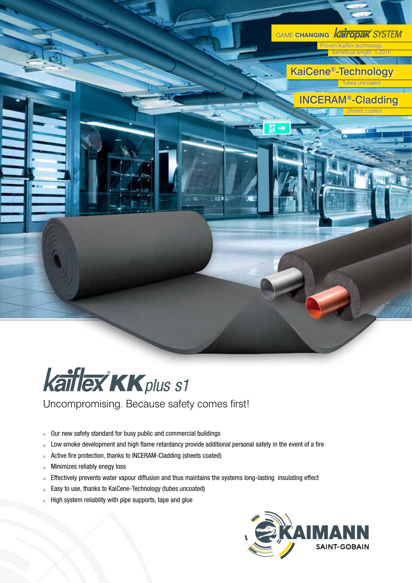



- Our new safety standard for busy public and commercial buildings  $\blacksquare$
- Low smoke development and high flame retardancy provide additional personal safety in the event of a fire  $\overline{\phantom{a}}$
- Active fire protection, thanks to INCERAM-Cladding (sheets coated) Ì.
- Minimizes reliably enegy loss Ė
- Effectively prevents water vapour diffusion and thus maintains the systems long-lasting insulating effect  $\bar{\phantom{a}}$
- Easy to use, thanks to KaiCene-Technology (tubes uncoated) i.
- High system reliablity with pipe supports, tape and glue

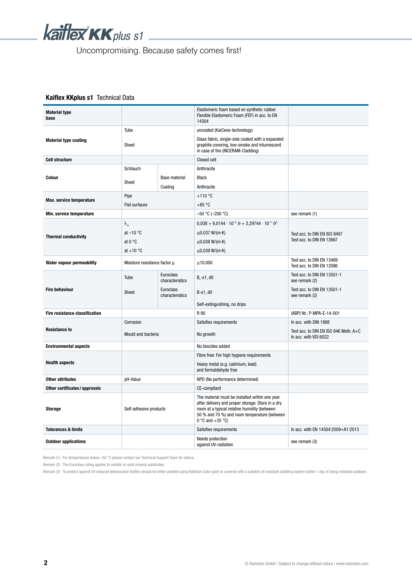

## Kaiflex KKplus s1 Technical Data

| <b>Material type</b><br>base   |                              |                                          | Elastomeric foam based on synthetic rubber.<br>Flexible Elastomeric Foam (FEF) in acc. to EN<br>14304                                                                                                                        |                                                                |  |
|--------------------------------|------------------------------|------------------------------------------|------------------------------------------------------------------------------------------------------------------------------------------------------------------------------------------------------------------------------|----------------------------------------------------------------|--|
|                                | Tube                         |                                          | uncoated (KaiCene-technology)                                                                                                                                                                                                |                                                                |  |
| <b>Material type coating</b>   | Sheet                        |                                          | Glass fabric, single-side coated with a expanded<br>graphite covering, low-smoke and intumescent<br>in case of fire (INCERAM-Cladding)                                                                                       |                                                                |  |
| <b>Cell structure</b>          |                              |                                          | Closed cell                                                                                                                                                                                                                  |                                                                |  |
|                                | Schlauch                     |                                          | Anthracite                                                                                                                                                                                                                   |                                                                |  |
| Colour                         |                              | <b>Base material</b>                     | <b>Black</b>                                                                                                                                                                                                                 |                                                                |  |
|                                | Sheet                        | Coating                                  | Anthracite                                                                                                                                                                                                                   |                                                                |  |
|                                | Pipe                         |                                          | $+110$ °C                                                                                                                                                                                                                    |                                                                |  |
| Max. service temperature       | <b>Flat surfaces</b>         |                                          | $+85 °C$                                                                                                                                                                                                                     |                                                                |  |
| Min. service temperature       |                              |                                          | $-50$ °C ( $-200$ °C)                                                                                                                                                                                                        | see remark (1)                                                 |  |
|                                | $\lambda_{\vartheta}$        |                                          | $0.038 + 9.0144 \cdot 10^{-5} \theta + 3.29744 \cdot 10^{-7} \theta^2$                                                                                                                                                       |                                                                |  |
|                                | at $-10$ °C                  |                                          | $≤0,037$ W/(m⋅K)                                                                                                                                                                                                             | Test acc. to DIN EN ISO 8497                                   |  |
| <b>Thermal conductivity</b>    | at $0^{\circ}$ C             |                                          | $≤0,038$ W/(m⋅K)                                                                                                                                                                                                             | Test acc. to DIN EN 12667                                      |  |
|                                | at $+10$ °C                  |                                          | ≤0,039 W/(m·K)                                                                                                                                                                                                               |                                                                |  |
| Water vapour permeability      | Moisture resistance factor µ |                                          | $\geq 10.000$                                                                                                                                                                                                                | Test acc. to DIN EN 13469<br>Test acc. to DIN EN 12086         |  |
|                                | Tube                         | Euroclass<br>characteristics             | $B_1 - S_1$ , d0                                                                                                                                                                                                             | Test acc. to DIN EN 13501-1<br>see remark (2)                  |  |
| <b>Fire behaviour</b>          | Sheet                        | <b>Euroclass</b><br>characteristics      | $B-s1, d0$                                                                                                                                                                                                                   | Test acc. to DIN EN 13501-1<br>see remark (2)                  |  |
|                                |                              |                                          | Self-extinguishing, no drips                                                                                                                                                                                                 |                                                                |  |
| Fire resistance classification |                              |                                          | R 90                                                                                                                                                                                                                         | (ABP) Nr.: P-MPA-E-14-001                                      |  |
|                                | Corrosion                    |                                          | Satisfies requirements                                                                                                                                                                                                       | In acc. with DIN 1988                                          |  |
| <b>Resistance to</b>           | Mould and bacteria           |                                          | No growth                                                                                                                                                                                                                    | Test acc. to DIN EN ISO 846 Meth. A+C<br>In acc. with VDI 6022 |  |
| <b>Environmental aspects</b>   |                              |                                          | No biocides added                                                                                                                                                                                                            |                                                                |  |
|                                |                              |                                          | Fibre free: For high hygiene requirements                                                                                                                                                                                    |                                                                |  |
| <b>Health aspects</b>          |                              |                                          | Heavy metal (e.g. cadmium, lead)<br>and formaldehyde free                                                                                                                                                                    |                                                                |  |
| <b>Other attributes</b>        | pH-Value                     |                                          | NPD (No performance determined)                                                                                                                                                                                              |                                                                |  |
| Other certificates / approvals |                              |                                          | CE-compliant                                                                                                                                                                                                                 |                                                                |  |
| <b>Storage</b>                 | Self-adhesive products       |                                          | The material must be installed within one year<br>after delivery and proper storage. Store in a dry<br>room at a typical relative humidity (between<br>50 % and 70 %) and room temperature (between<br>$0 °C$ and $+35 °C$ ) |                                                                |  |
| <b>Tolerances &amp; limits</b> |                              |                                          |                                                                                                                                                                                                                              | In acc. with EN 14304:2009+A1:2013                             |  |
| <b>Outdoor applications</b>    |                              | Needs protection<br>against UV-radiation | see remark (3)                                                                                                                                                                                                               |                                                                |  |

Remark (1) For temperatures below  $-50$  °C please contact our Technical Support Team for advice.

Remark (2) The Euroclass rating applies to metalic or solid mineral substrates.

Remark (3) To protect against UV-induced deterioration Kaiflex should be either painted using Kaifinish Color paint or covered with a suitable UV resistant cladding system within 1 day of being installed outdoors.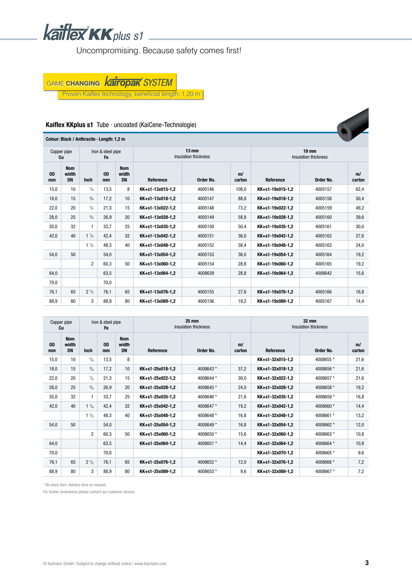

GAME CHANGING KaITOPAK SYSTEM

Proven Kaiflex technology, beneficial length: 1,20 m

#### Kaiflex KKplus s1 Tube ∙ uncoated (KaiCene-Technologie)



| Copper pipe<br>Iron & steel pipe<br><b>Fe</b><br>Сu |                                  |                | $25 \text{ mm}$<br>Insulation thickness | 32 mm<br>Insulation thickness    |                  |           |              |                  |           |              |
|-----------------------------------------------------|----------------------------------|----------------|-----------------------------------------|----------------------------------|------------------|-----------|--------------|------------------|-----------|--------------|
| <b>OD</b><br>mm                                     | <b>Nom</b><br>width<br><b>DN</b> | <b>Inch</b>    | <b>OD</b><br>mm                         | <b>Nom</b><br>width<br><b>DN</b> | Reference        | Order No. | m/<br>carton | Reference        | Order No. | m/<br>carton |
| 15,0                                                | 10 <sup>°</sup>                  | $^{1}/_{4}$    | 13,5                                    | 8                                |                  |           |              | KK+s1-32x015-1,2 | 4008655*  | 21,6         |
| 18,0                                                | 15                               | $^{3}/_{8}$    | 17,2                                    | 10                               | KK+s1-25x018-1,2 | 4008643*  | 37,2         | KK+s1-32x018-1,2 | 4008656*  | 21,6         |
| 22,0                                                | 20                               | $\frac{1}{2}$  | 21,3                                    | 15                               | KK+s1-25x022-1,2 | 4008644*  | 30,0         | KK+s1-32x022-1,2 | 4008657*  | 21,6         |
| 28,0                                                | 25                               | $^{3}/_{4}$    | 26,9                                    | 20                               | KK+s1-25x028-1,2 | 4008645*  | 24,0         | KK+s1-32x028-1,2 | 4008658*  | 19,2         |
| 35,0                                                | 32                               | $\mathbf{1}$   | 33,7                                    | 25                               | KK+s1-25x035-1,2 | 4008646*  | 21,6         | KK+s1-32x035-1,2 | 4008659*  | 16,8         |
| 42,0                                                | 40                               | $1^{1}/_{4}$   | 42,4                                    | 32                               | KK+s1-25x042-1,2 | 4008647*  | 19,2         | KK+s1-32x042-1,2 | 4008660*  | 14,4         |
|                                                     |                                  | $1\frac{1}{2}$ | 48,3                                    | 40                               | KK+s1-25x048-1,2 | 4008648 * | 16,8         | KK+s1-32x048-1,2 | 4008661 * | 13,2         |
| 54,0                                                | 50                               |                | 54,0                                    |                                  | KK+s1-25x054-1,2 | 4008649*  | 16,8         | KK+s1-32x054-1,2 | 4008662*  | 12,0         |
|                                                     |                                  | $\overline{2}$ | 60,3                                    | 50                               | KK+s1-25x060-1,2 | 4008650*  | 15,6         | KK+s1-32x060-1,2 | 4008663*  | 10,8         |
| 64,0                                                |                                  |                | 63,5                                    |                                  | KK+s1-25x064-1,2 | 4008651 * | 14,4         | KK+s1-32x064-1,2 | 4008664*  | 10,8         |
| 70,0                                                |                                  |                | 70,0                                    |                                  |                  |           |              | KK+s1-32x070-1,2 | 4008665*  | 9,6          |
| 76,1                                                | 65                               | $2^{1/2}$      | 76,1                                    | 65                               | KK+s1-25x076-1,2 | 4008652 * | 12,0         | KK+s1-32x076-1,2 | 4008666 * | 7,2          |
| 88,9                                                | 80                               | 3              | 88,9                                    | 80                               | KK+s1-25x089-1,2 | 4008653*  | 9,6          | KK+s1-32x089-1,2 | 4008667*  | 7,2          |

\* No stock item, delivery time on request.

For further dimensions please contact our customer service.